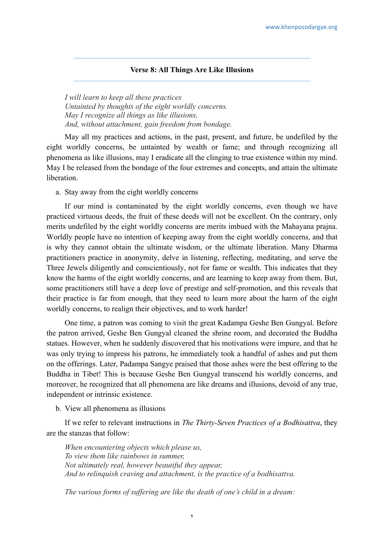## **Verse 8: All Things Are Like Illusions**

*I will learn to keep all these practices Untainted by thoughts of the eight worldly concerns. May I recognize all things as like illusions, And, without attachment, gain freedom from bondage.*

May all my practices and actions, in the past, present, and future, be undefiled by the eight worldly concerns, be untainted by wealth or fame; and through recognizing all phenomena as like illusions, may I eradicate all the clinging to true existence within my mind. May I be released from the bondage of the four extremes and concepts, and attain the ultimate **liberation** 

a. Stay away from the eight worldly concerns

If our mind is contaminated by the eight worldly concerns, even though we have practiced virtuous deeds, the fruit of these deeds will not be excellent. On the contrary, only merits undefiled by the eight worldly concerns are merits imbued with the Mahayana prajna. Worldly people have no intention of keeping away from the eight worldly concerns, and that is why they cannot obtain the ultimate wisdom, or the ultimate liberation. Many Dharma practitioners practice in anonymity, delve in listening, reflecting, meditating, and serve the Three Jewels diligently and conscientiously, not for fame or wealth. This indicates that they know the harms of the eight worldly concerns, and are learning to keep away from them. But, some practitioners still have a deep love of prestige and self-promotion, and this reveals that their practice is far from enough, that they need to learn more about the harm of the eight worldly concerns, to realign their objectives, and to work harder!

One time, a patron was coming to visit the great Kadampa Geshe Ben Gungyal. Before the patron arrived, Geshe Ben Gungyal cleaned the shrine room, and decorated the Buddha statues. However, when he suddenly discovered that his motivations were impure, and that he was only trying to impress his patrons, he immediately took a handful of ashes and put them on the offerings. Later, Padampa Sangye praised that those ashes were the best offering to the Buddha in Tibet! This is because Geshe Ben Gungyal transcend his worldly concerns, and moreover, he recognized that all phenomena are like dreams and illusions, devoid of any true, independent or intrinsic existence.

b. View all phenomena as illusions

If we refer to relevant instructions in *The Thirty-Seven Practices of a Bodhisattva*, they are the stanzas that follow:

*When encountering objects which please us, To view them like rainbows in summer, Not ultimately real, however beautiful they appear, And to relinquish craving and attachment, is the practice of a bodhisattva.*

*The various forms of suffering are like the death of one's child in a dream:*